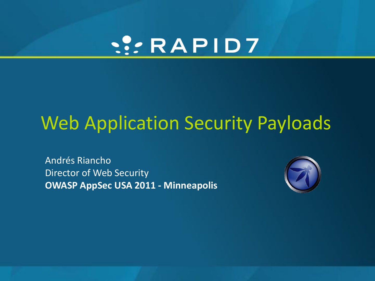# W:RAPID7

# Web Application Security Payloads

Andrés Riancho Director of Web Security **OWASP AppSec USA 2011 - Minneapolis**

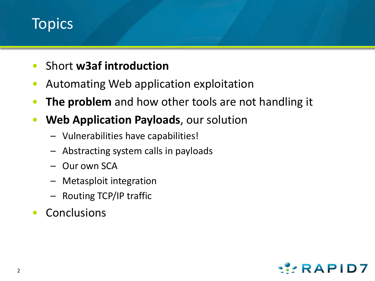#### **Topics**

- Short **w3af introduction**
- Automating Web application exploitation
- **The problem** and how other tools are not handling it
- **Web Application Payloads**, our solution
	- Vulnerabilities have capabilities!
	- Abstracting system calls in payloads
	- Our own SCA
	- Metasploit integration
	- Routing TCP/IP traffic
- Conclusions

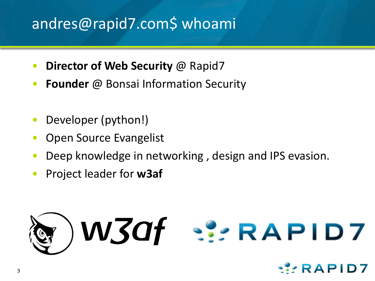#### andres@rapid7.com\$ whoami

- **Director of Web Security** @ Rapid7
- **Founder** @ Bonsai Information Security
- Developer (python!)
- Open Source Evangelist
- Deep knowledge in networking , design and IPS evasion.
- Project leader for **w3af**



RAPID7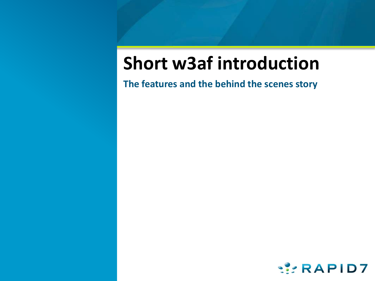# **Short w3af introduction**

**The features and the behind the scenes story**

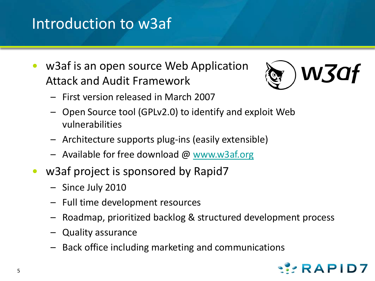#### Introduction to w3af

• w3af is an open source Web Application Attack and Audit Framework



- First version released in March 2007
- Open Source tool (GPLv2.0) to identify and exploit Web vulnerabilities
- Architecture supports plug-ins (easily extensible)
- Available for free download @ [www.w3af.org](http://www.w3af.org/)
- w3af project is sponsored by Rapid7
	- Since July 2010
	- Full time development resources
	- Roadmap, prioritized backlog & structured development process
	- Quality assurance
	- Back office including marketing and communications

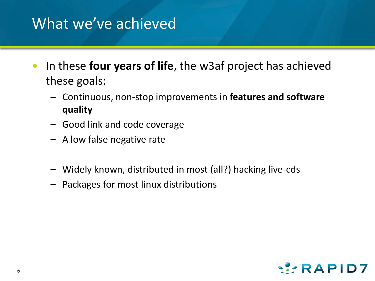#### What we've achieved

- In these **four years of life**, the w3af project has achieved these goals:
	- Continuous, non-stop improvements in **features and software quality**
	- Good link and code coverage
	- A low false negative rate
	- Widely known, distributed in most (all?) hacking live-cds
	- Packages for most linux distributions

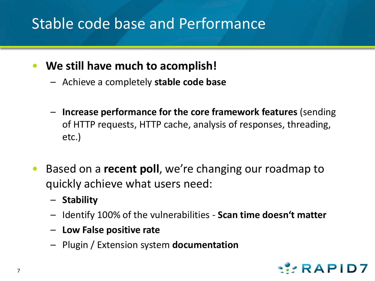#### Stable code base and Performance

- **We still have much to acomplish!**
	- Achieve a completely **stable code base**
	- **Increase performance for the core framework features** (sending of HTTP requests, HTTP cache, analysis of responses, threading, etc.)
- Based on a **recent poll**, we're changing our roadmap to quickly achieve what users need:
	- **Stability**
	- Identify 100% of the vulnerabilities **Scan time doesn't matter**
	- **Low False positive rate**
	- Plugin / Extension system **documentation**

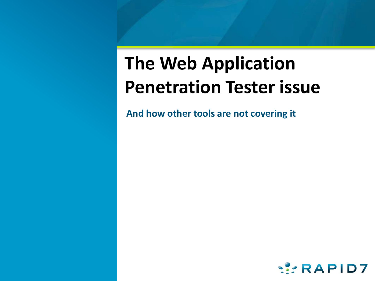# **The Web Application Penetration Tester issue**

**And how other tools are not covering it**

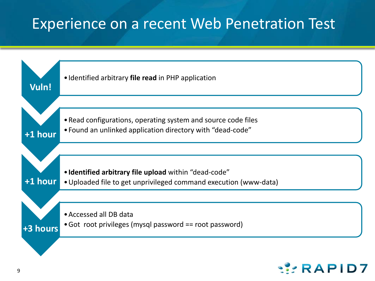#### Experience on a recent Web Penetration Test



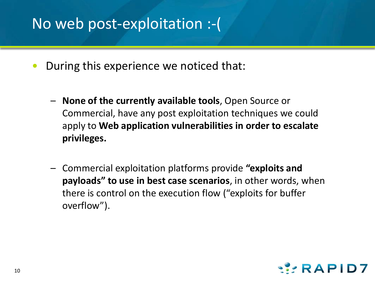#### No web post-exploitation :-(

- During this experience we noticed that:
	- **None of the currently available tools**, Open Source or Commercial, have any post exploitation techniques we could apply to **Web application vulnerabilities in order to escalate privileges.**
	- Commercial exploitation platforms provide **"exploits and payloads" to use in best case scenarios**, in other words, when there is control on the execution flow ("exploits for buffer overflow").

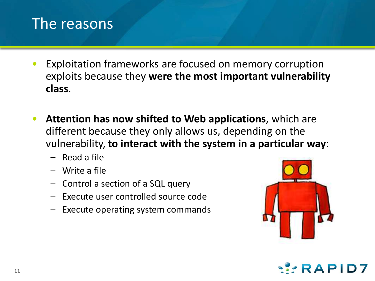#### The reasons

- Exploitation frameworks are focused on memory corruption exploits because they **were the most important vulnerability class**.
- **Attention has now shifted to Web applications**, which are different because they only allows us, depending on the vulnerability, **to interact with the system in a particular way**:
	- Read a file
	- Write a file
	- Control a section of a SQL query
	- Execute user controlled source code
	- Execute operating system commands



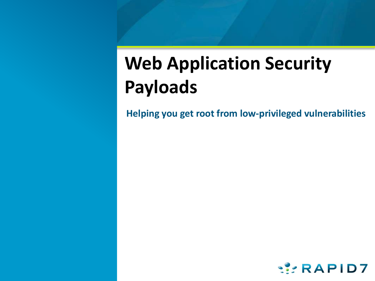# **Web Application Security Payloads**

**Helping you get root from low-privileged vulnerabilities**

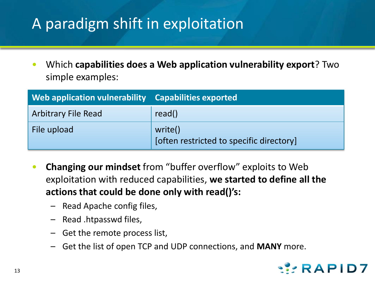## A paradigm shift in exploitation

• Which **capabilities does a Web application vulnerability export**? Two simple examples:

| Web application vulnerability Capabilities exported |                                                     |
|-----------------------------------------------------|-----------------------------------------------------|
| <b>Arbitrary File Read</b>                          | read()                                              |
| File upload                                         | write()<br>[often restricted to specific directory] |

- **Changing our mindset** from "buffer overflow" exploits to Web exploitation with reduced capabilities, **we started to define all the actions that could be done only with read()'s:**
	- Read Apache config files,
	- Read .htpasswd files,
	- Get the remote process list,
	- Get the list of open TCP and UDP connections, and **MANY** more.

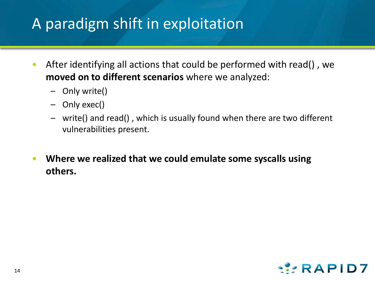#### A paradigm shift in exploitation

- After identifying all actions that could be performed with read() , we **moved on to different scenarios** where we analyzed:
	- Only write()
	- Only exec()
	- write() and read() , which is usually found when there are two different vulnerabilities present.
- **Where we realized that we could emulate some syscalls using others.**

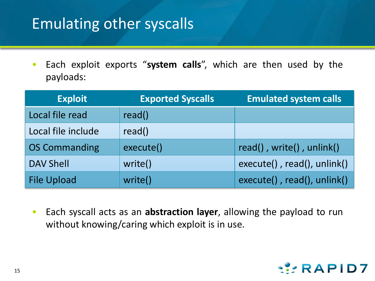#### Emulating other syscalls

• Each exploit exports "**system calls**", which are then used by the payloads:

| <b>Exploit</b>       | <b>Exported Syscalls</b> | <b>Emulated system calls</b> |
|----------------------|--------------------------|------------------------------|
| Local file read      | read()                   |                              |
| Local file include   | read()                   |                              |
| <b>OS Commanding</b> | execute()                | read(), write(), unlink()    |
| <b>DAV Shell</b>     | write()                  | execute(), read(), unlink()  |
| <b>File Upload</b>   | write()                  | execute(), read(), unlink()  |

• Each syscall acts as an **abstraction layer**, allowing the payload to run without knowing/caring which exploit is in use.

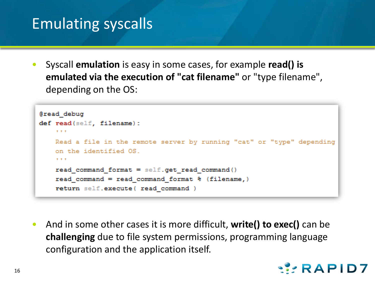#### Emulating syscalls

• Syscall **emulation** is easy in some cases, for example **read() is emulated via the execution of "cat filename"** or "type filename", depending on the OS:

```
@read debug
def read(self, filename):
    10 - 10 = 0Read a file in the remote server by running "cat" or "type" depending
    on the identified OS.
    10.11 - 10.1read command format = self.get read command()
    read command = read command format \theta (filename,)
    return self.execute( read command )
```
• And in some other cases it is more difficult, **write() to exec()** can be **challenging** due to file system permissions, programming language configuration and the application itself.

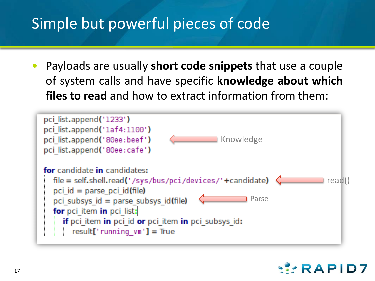#### Simple but powerful pieces of code

• Payloads are usually **short code snippets** that use a couple of system calls and have specific **knowledge about which files to read** and how to extract information from them:

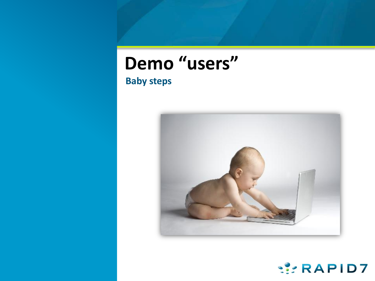# **Demo "users"**

#### **Baby steps**



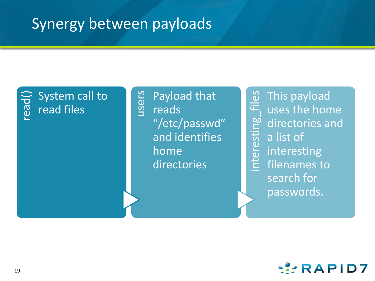#### Synergy between payloads

#### read() System call to read files

users Payload that reads "/etc/passwd" and identifies home directories

interesting\_files This payload uses the home directories and a list of interesting filenames to search for passwords.

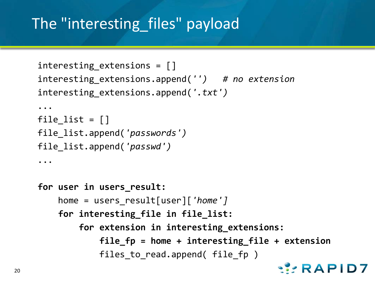## The "interesting files" payload

```
interesting extensions = []
interesting_extensions.append('') # no extension
interesting_extensions.append('.txt')
...
file list = []
file_list.append('passwords')
file_list.append('passwd')
...
for user in users_result:
   home = users_result[user]['home']
   for interesting_file in file_list:
        for extension in interesting_extensions:
           file_fp = home + interesting_file + extension
            files to read.append( file fp )
                                              WRAPID7
```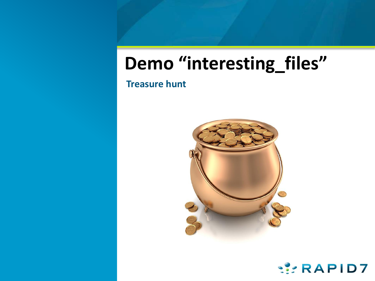# **Demo "interesting\_files"**

**Treasure hunt**



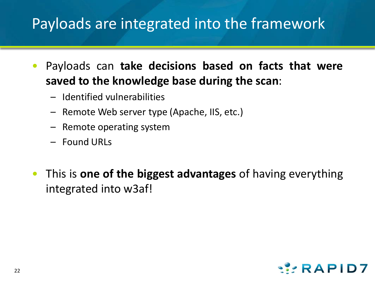#### Payloads are integrated into the framework

- Payloads can **take decisions based on facts that were saved to the knowledge base during the scan**:
	- Identified vulnerabilities
	- Remote Web server type (Apache, IIS, etc.)
	- Remote operating system
	- Found URLs
- This is **one of the biggest advantages** of having everything integrated into w3af!

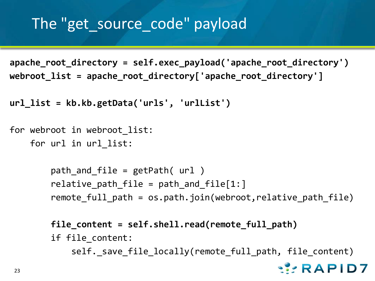#### The "get source code" payload

**apache\_root\_directory = self.exec\_payload('apache\_root\_directory') webroot\_list = apache\_root\_directory['apache\_root\_directory']**

```
url_list = kb.kb.getData('urls', 'urlList')
```

```
for webroot in webroot list:
```
for url in url\_list:

```
path and file = getPath( url )relative path file = path and file[1:]
remote full path = os.path.join(webroot, relative path file)
```

```
file_content = self.shell.read(remote_full_path)
if file_content:
   self._save_file_locally(remote_full_path, file_content)RAPID7
```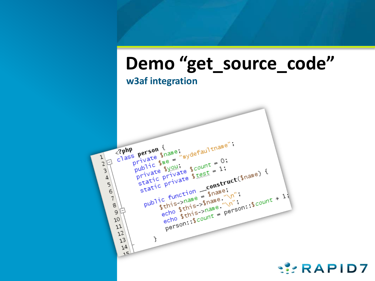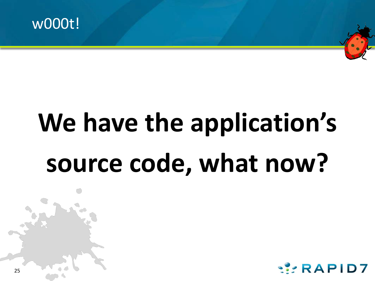

# **We have the application's source code, what now?**



25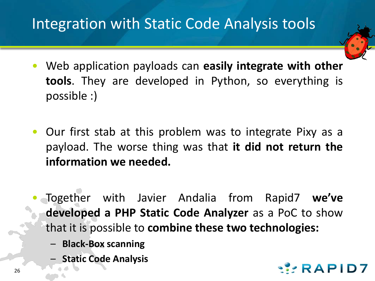#### Integration with Static Code Analysis tools

- Web application payloads can **easily integrate with other tools**. They are developed in Python, so everything is possible :)
- Our first stab at this problem was to integrate Pixy as a payload. The worse thing was that **it did not return the information we needed.**
- Together with Javier Andalia from Rapid7 **we've developed a PHP Static Code Analyzer** as a PoC to show that it is possible to **combine these two technologies:**
	- **Black-Box scanning**
	- **Static Code Analysis**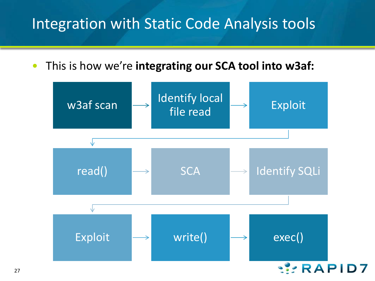#### Integration with Static Code Analysis tools

• This is how we're **integrating our SCA tool into w3af:**

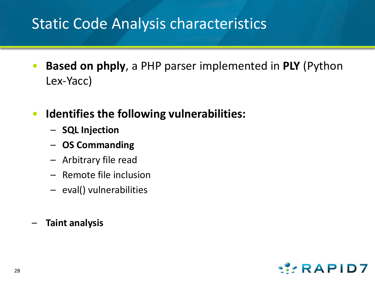#### Static Code Analysis characteristics

- **Based on phply**, a PHP parser implemented in **PLY** (Python Lex-Yacc)
- **Identifies the following vulnerabilities:**
	- **SQL Injection**
	- **OS Commanding**
	- Arbitrary file read
	- Remote file inclusion
	- eval() vulnerabilities
- **Taint analysis**

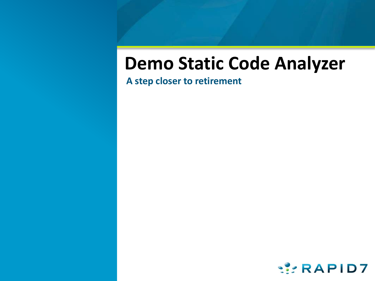# **Demo Static Code Analyzer**

**A step closer to retirement** 

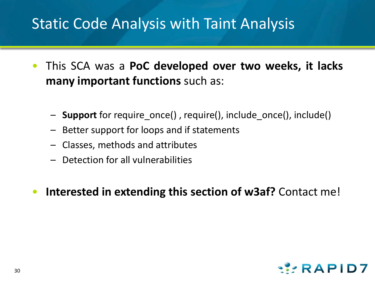#### Static Code Analysis with Taint Analysis

- This SCA was a **PoC developed over two weeks, it lacks many important functions** such as:
	- **Support** for require\_once() , require(), include\_once(), include()
	- Better support for loops and if statements
	- Classes, methods and attributes
	- Detection for all vulnerabilities
- **Interested in extending this section of w3af?** Contact me!

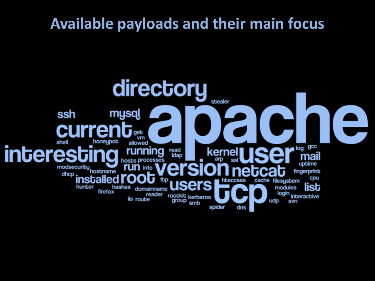#### **Available payloads and their main focus**

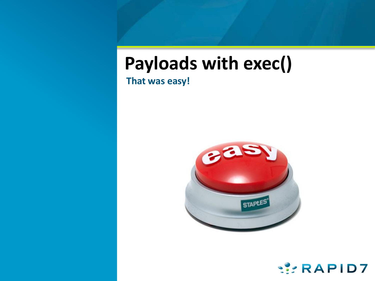# **Payloads with exec()**

**That was easy!**



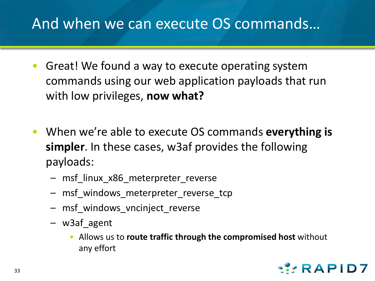#### And when we can execute OS commands…

- Great! We found a way to execute operating system commands using our web application payloads that run with low privileges, **now what?**
- When we're able to execute OS commands **everything is simpler**. In these cases, w3af provides the following payloads:
	- msf\_linux\_x86\_meterpreter\_reverse
	- msf\_windows\_meterpreter\_reverse\_tcp
	- msf windows vncinject reverse
	- w3af\_agent
		- Allows us to **route traffic through the compromised host** without any effort

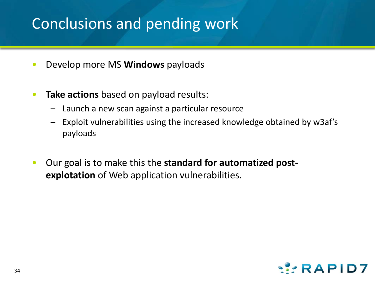#### Conclusions and pending work

- Develop more MS **Windows** payloads
- **Take actions** based on payload results:
	- Launch a new scan against a particular resource
	- Exploit vulnerabilities using the increased knowledge obtained by w3af's payloads
- Our goal is to make this the **standard for automatized postexplotation** of Web application vulnerabilities.

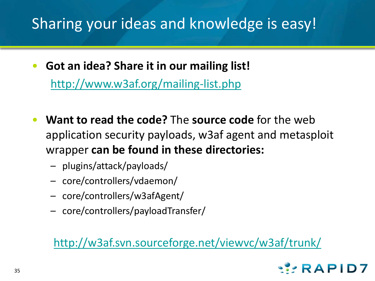#### Sharing your ideas and knowledge is easy!

- **Got an idea? Share it in our mailing list!** [http://www.w3af.org/mailing-list.php](http://w3af.svn.sourceforge.net/viewvc/w3af/trunk/)
- **Want to read the code?** The **source code** for the web application security payloads, w3af agent and metasploit wrapper **can be found in these directories:**
	- plugins/attack/payloads/
	- core/controllers/vdaemon/
	- core/controllers/w3afAgent/
	- core/controllers/payloadTransfer/

#### <http://w3af.svn.sourceforge.net/viewvc/w3af/trunk/>

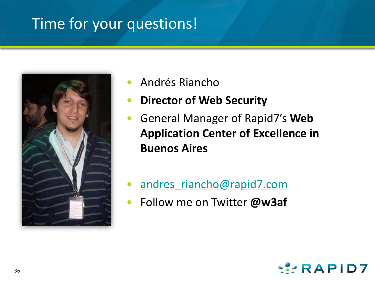#### Time for your questions!



- Andrés Riancho
- **Director of Web Security**
- General Manager of Rapid7's **Web Application Center of Excellence in Buenos Aires**
- [andres\\_riancho@rapid7.com](mailto:andres_riancho@rapid7.com)
- Follow me on Twitter **@w3af**